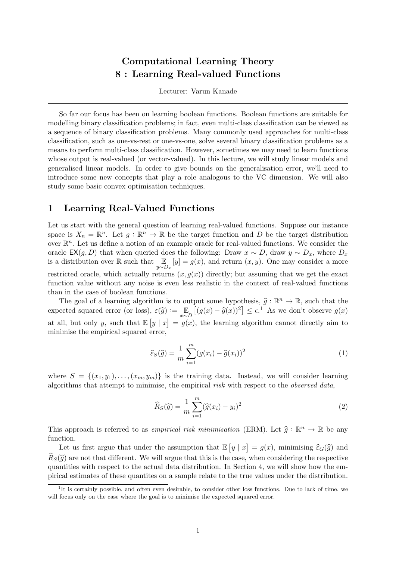# Computational Learning Theory 8 : Learning Real-valued Functions

Lecturer: Varun Kanade

So far our focus has been on learning boolean functions. Boolean functions are suitable for modelling binary classification problems; in fact, even multi-class classification can be viewed as a sequence of binary classification problems. Many commonly used approaches for multi-class classification, such as one-vs-rest or one-vs-one, solve several binary classification problems as a means to perform multi-class classification. However, sometimes we may need to learn functions whose output is real-valued (or vector-valued). In this lecture, we will study linear models and generalised linear models. In order to give bounds on the generalisation error, we'll need to introduce some new concepts that play a role analogous to the VC dimension. We will also study some basic convex optimisation techniques.

# 1 Learning Real-Valued Functions

Let us start with the general question of learning real-valued functions. Suppose our instance space is  $X_n = \mathbb{R}^n$ . Let  $g: \mathbb{R}^n \to \mathbb{R}$  be the target function and D be the target distribution over  $\mathbb{R}^n$ . Let us define a notion of an example oracle for real-valued functions. We consider the oracle EX(g, D) that when queried does the following: Draw  $x \sim D$ , draw  $y \sim D_x$ , where  $D_x$ is a distribution over R such that  $\mathbb{E}_{y \sim D_x}[y] = g(x)$ , and return  $(x, y)$ . One may consider a more restricted oracle, which actually returns  $(x, g(x))$  directly; but assuming that we get the exact function value without any noise is even less realistic in the context of real-valued functions than in the case of boolean functions.

The goal of a learning algorithm is to output some hypothesis,  $\hat{g} : \mathbb{R}$ <br>exted sourced error (or loss),  $\hat{g}(\hat{a}) := \mathbb{E} \left[ (g(x) - \hat{g}(x))^2 \right] \leq \epsilon^1$ . The goal of a learning algorithm is to output some hypothesis,  $\hat{g} : \mathbb{R}^n \to \mathbb{R}$ , such that the expected squared error (or loss),  $\varepsilon(\widehat{g}) := \mathbb{E}_{x \sim D} [(g(x) - \widehat{g}(x))^2] \le \epsilon$ .<sup>1</sup> As we don't observe  $g(x)$ at all, but only y, such that  $\mathbb{E}[y | x] = g(x)$ , the learning algorithm cannot directly aim to minimise the empirical squared error,

$$
\widehat{\varepsilon}_S(\widehat{g}) = \frac{1}{m} \sum_{i=1}^m (g(x_i) - \widehat{g}(x_i))^2
$$
\n(1)

where  $S = \{(x_1, y_1), \ldots, (x_m, y_m)\}\$ is the training data. Instead, we will consider learning algorithms that attempt to minimise, the empirical risk with respect to the observed data,

$$
\widehat{R}_{S}(\widehat{g}) = \frac{1}{m} \sum_{i=1}^{m} (\widehat{g}(x_i) - y_i)^2
$$
\n(2)

This approach is referred to as *empirical risk minimisation* (ERM). Let  $\hat{g} : \mathbb{R}^n \to \mathbb{R}$  be any function function.

Let us first argue that under the assumption that  $\mathbb{E}[y | x] = g(x)$ , minimising  $\widehat{\varepsilon}_G(\widehat{g})$  and  $\hat{R}_S(\hat{q})$  are not that different. We will argue that this is the case, when considering the respective quantities with respect to the actual data distribution. In Section 4, we will show how the empirical estimates of these quantites on a sample relate to the true values under the distribution.

<sup>&</sup>lt;sup>1</sup>It is certainly possible, and often even desirable, to consider other loss functions. Due to lack of time, we will focus only on the case where the goal is to minimise the expected squared error.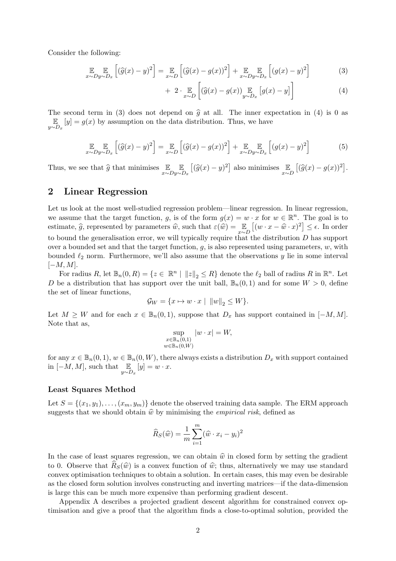Consider the following:

$$
\mathbb{E}_{x \sim Dy \sim D_x} \left[ (\widehat{g}(x) - y)^2 \right] = \mathbb{E}_{x \sim D} \left[ (\widehat{g}(x) - g(x))^2 \right] + \mathbb{E}_{x \sim Dy \sim D_x} \left[ (g(x) - y)^2 \right] \tag{3}
$$

$$
+ 2 \cdot \mathop{\mathbb{E}}_{x \sim D} \left[ \left( \widehat{g}(x) - g(x) \right)_{y \sim D_x} \left[ g(x) - y \right] \right] \tag{4}
$$

The second term in (3) does not depend on  $\hat{g}$  at all. The inner expectation in (4) is 0 as E  $\mathbb{E}_{y \sim D_x}[y] = g(x)$  by assumption on the data distribution. Thus, we have

$$
\mathbb{E}_{x \sim Dy \sim D_x} \left[ (\widehat{g}(x) - y)^2 \right] = \mathbb{E}_{x \sim D} \left[ (\widehat{g}(x) - g(x))^2 \right] + \mathbb{E}_{x \sim Dy \sim D_x} \left[ (g(x) - y)^2 \right] \tag{5}
$$

Thus, we see that  $\widehat{g}$  that minimises  $\mathbb{E}_{x \sim D}$ E  $y \sim D_x$  $[(\widehat{g}(x) - y)^2]$  also minimises  $\mathbb{E}_{x \sim D}[(\widehat{g}(x) - g(x))^2]$ .

# 2 Linear Regression

Let us look at the most well-studied regression problem—linear regression. In linear regression, we assume that the target function, g, is of the form  $g(x) = w \cdot x$  for  $w \in \mathbb{R}^n$ . The goal is to estimate,  $\hat{g}$ , represented by parameters  $\hat{w}$ , such that  $\varepsilon(\hat{w}) = \mathbb{E}_{x \sim D} [(w \cdot x - \hat{w} \cdot x)^2] \le \epsilon$ . In order to bound the generalisation error, we will typically require that the distribution  $D$  has support over a bounded set and that the target function,  $g$ , is also represented using parameters,  $w$ , with bounded  $\ell_2$  norm. Furthermore, we'll also assume that the observations y lie in some interval  $[-M, M].$ 

For radius R, let  $\mathbb{B}_n(0,R) = \{z \in \mathbb{R}^n \mid ||z||_2 \le R\}$  denote the  $\ell_2$  ball of radius R in  $\mathbb{R}^n$ . Let D be a distribution that has support over the unit ball,  $\mathbb{B}_n(0,1)$  and for some  $W > 0$ , define the set of linear functions,

$$
\mathcal{G}_W = \{ x \mapsto w \cdot x \mid ||w||_2 \le W \}.
$$

Let  $M \geq W$  and for each  $x \in \mathbb{B}_n(0,1)$ , suppose that  $D_x$  has support contained in  $[-M, M]$ . Note that as,

$$
\sup_{\substack{x \in \mathbb{B}_n(0,1) \\ w \in \mathbb{B}_n(0,W)}} |w \cdot x| = W,
$$

for any  $x \in \mathbb{B}_n(0,1)$ ,  $w \in \mathbb{B}_n(0,W)$ , there always exists a distribution  $D_x$  with support contained in  $[-M, M]$ , such that  $\mathbb{E}_{y \sim D_x}[y] = w \cdot x$ .

### Least Squares Method

Let  $S = \{(x_1, y_1), \ldots, (x_m, y_m)\}\$  denote the observed training data sample. The ERM approach suggests that we should obtain  $\hat{w}$  by minimising the *empirical risk*, defined as

$$
\widehat{R}_S(\widehat{w}) = \frac{1}{m} \sum_{i=1}^m (\widehat{w} \cdot x_i - y_i)^2
$$

In the case of least squares regression, we can obtain  $\hat{w}$  in closed form by setting the gradient to 0. Observe that  $R_S(\hat{w})$  is a convex function of  $\hat{w}$ ; thus, alternatively we may use standard convex optimisation techniques to obtain a solution. In certain cases, this may even be desirable as the closed form solution involves constructing and inverting matrices—if the data-dimension is large this can be much more expensive than performing gradient descent.

Appendix A describes a projected gradient descent algorithm for constrained convex optimisation and give a proof that the algorithm finds a close-to-optimal solution, provided the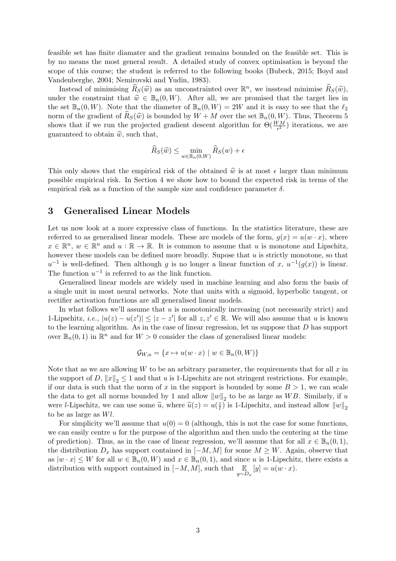feasible set has finite diamater and the gradient remains bounded on the feasible set. This is by no means the most general result. A detailed study of convex optimisation is beyond the scope of this course; the student is referred to the following books (Bubeck, 2015; Boyd and Vandenberghe, 2004; Nemirovski and Yudin, 1983).

Instead of minimising  $\widehat{R}_S(\widehat{w})$  as an unconstrainted over  $\mathbb{R}^n$ , we insstead minimise  $\widehat{R}_S(\widehat{w})$ ,  $\lim_{\delta \to \infty} \widehat{R}_S(\widehat{w})$ ,  $\Lambda$  for all we are promised that the target lies in under the constraint that  $\hat{w} \in \mathbb{B}_n(0, W)$ . After all, we are promised that the target lies in the set  $\mathbb{B}_n(0, W)$ . Note that the diameter of  $\mathbb{B}_n(0, W) = 2W$  and it is easy to see that the  $\ell_2$ norm of the gradient of  $\hat{R}_S(\hat{w})$  is bounded by  $W + M$  over the set  $\mathbb{B}_n(0, W)$ . Thus, Theorem 5 shows that if we run the projected gradient descent algorithm for  $\Theta(\frac{WM}{\epsilon^2})$  iterations, we are guaranteed to obtain  $\hat{w}$ , such that,

$$
\widehat{R}_S(\widehat{w}) \le \min_{w \in \mathbb{B}_n(0,W)} \widehat{R}_S(w) + \epsilon
$$

This only shows that the empirical risk of the obtained  $\hat{w}$  is at most  $\epsilon$  larger than minimum possible empirical risk. In Section 4 we show how to bound the expected risk in terms of the empirical risk as a function of the sample size and confidence parameter  $\delta$ .

### 3 Generalised Linear Models

Let us now look at a more expressive class of functions. In the statistics literature, these are referred to as generalised linear models. These are models of the form,  $g(x) = u(w \cdot x)$ , where  $x \in \mathbb{R}^n$ ,  $w \in \mathbb{R}^n$  and  $u : \mathbb{R} \to \mathbb{R}$ . It is common to assume that u is monotone and Lipschitz, however these models can be defined more broadly. Supose that  $u$  is strictly monotone, so that  $u^{-1}$  is well-defined. Then although g is no longer a linear function of x,  $u^{-1}(g(x))$  is linear. The function  $u^{-1}$  is referred to as the link function.

Generalised linear models are widely used in machine learning and also form the basis of a single unit in most neural networks. Note that units with a sigmoid, hyperbolic tangent, or rectifier activation functions are all generalised linear models.

In what follows we'll assume that  $u$  is monotonically increasing (not necessarily strict) and 1-Lipschitz, i.e.,  $|u(z) - u(z')| \le |z - z'|$  for all  $z, z' \in \mathbb{R}$ . We will also assume that u is known to the learning algorithm. As in the case of linear regression, let us suppose that D has support over  $\mathbb{B}_n(0,1)$  in  $\mathbb{R}^n$  and for  $W > 0$  consider the class of generalised linear models:

$$
\mathcal{G}_{W,u} = \{ x \mapsto u(w \cdot x) \mid w \in \mathbb{B}_n(0, W) \}
$$

Note that as we are allowing  $W$  to be an arbitrary parameter, the requirements that for all  $x$  in the support of D,  $||x||_2 \leq 1$  and that u is 1-Lipschitz are not stringent restrictions. For example, if our data is such that the norm of x in the support is bounded by some  $B > 1$ , we can scale the data to get all norms bounded by 1 and allow  $||w||_2$  to be as large as WB. Similarly, if u were *l*-Lipschitz, we can use some  $\tilde{u}$ , where  $\tilde{u}(z) = u(\frac{z}{l})$  $\frac{z}{l}$ ) is 1-Lipschitz, and instead allow  $||w||_2$ to be as large as Wl.

For simplicity we'll assume that  $u(0) = 0$  (although, this is not the case for some functions, we can easily centre u for the purpose of the algorithm and then undo the centering at the time of prediction). Thus, as in the case of linear regression, we'll assume that for all  $x \in \mathbb{B}_n(0,1)$ , the distribution  $D_x$  has support contained in  $[-M, M]$  for some  $M \geq W$ . Again, observe that as  $|w \cdot x| \leq W$  for all  $w \in \mathbb{B}_n(0, W)$  and  $x \in \mathbb{B}_n(0, 1)$ , and since u is 1-Lipschitz, there exists a distribution with support contained in  $[-M, M]$ , such that  $\mathbb{E}_{y \sim D_x}[y] = u(w \cdot x)$ .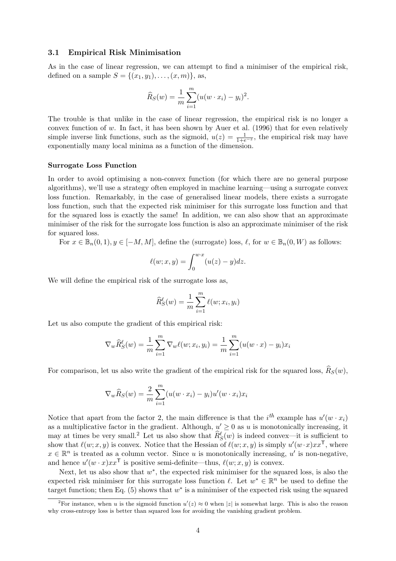#### 3.1 Empirical Risk Minimisation

As in the case of linear regression, we can attempt to find a minimiser of the empirical risk, defined on a sample  $S = \{(x_1, y_1), \ldots, (x, m)\}\)$ , as,

$$
\widehat{R}_S(w) = \frac{1}{m} \sum_{i=1}^m (u(w \cdot x_i) - y_i)^2.
$$

The trouble is that unlike in the case of linear regression, the empirical risk is no longer a convex function of  $w$ . In fact, it has been shown by Auer et al. (1996) that for even relatively simple inverse link functions, such as the sigmoid,  $u(z) = \frac{1}{1+e^{-z}}$ , the empirical risk may have exponentially many local minima as a function of the dimension.

#### Surrogate Loss Function

In order to avoid optimising a non-convex function (for which there are no general purpose algorithms), we'll use a strategy often employed in machine learning—using a surrogate convex loss function. Remarkably, in the case of generalised linear models, there exists a surrogate loss function, such that the expected risk minimiser for this surrogate loss function and that for the squared loss is exactly the same! In addition, we can also show that an approximate minimiser of the risk for the surrogate loss function is also an approximate minimiser of the risk for squared loss.

For  $x \in \mathbb{B}_n(0,1), y \in [-M, M]$ , define the (surrogate) loss,  $\ell$ , for  $w \in \mathbb{B}_n(0, W)$  as follows:

$$
\ell(w; x, y) = \int_0^{w \cdot x} (u(z) - y) dz.
$$

We will define the empirical risk of the surrogate loss as,

$$
\widehat{R}_{S}^{\ell}(w) = \frac{1}{m} \sum_{i=1}^{m} \ell(w; x_i, y_i)
$$

Let us also compute the gradient of this empirical risk:

$$
\nabla_{w} \widehat{R}_{S}^{\ell}(w) = \frac{1}{m} \sum_{i=1}^{m} \nabla_{w} \ell(w; x_i, y_i) = \frac{1}{m} \sum_{i=1}^{m} (u(w \cdot x) - y_i) x_i
$$

For comparison, let us also write the gradient of the empirical risk for the squared loss,  $\hat{R}_S(w)$ ,

$$
\nabla_w \widehat{R}_S(w) = \frac{2}{m} \sum_{i=1}^m (u(w \cdot x_i) - y_i) u'(w \cdot x_i) x_i
$$

Notice that apart from the factor 2, the main difference is that the  $i^{th}$  example has  $u'(w \cdot x_i)$ as a multiplicative factor in the gradient. Although,  $u' \geq 0$  as u is monotonically increasing, it may at times be very small.<sup>2</sup> Let us also show that  $\hat{R}_{S}^{\ell}(w)$  is indeed convex—it is sufficient to show that  $\ell(w; x, y)$  is convex. Notice that the Hessian of  $\ell(w; x, y)$  is simply  $u'(w \cdot x)xx^{\mathsf{T}}$ , where  $x \in \mathbb{R}^n$  is treated as a column vector. Since u is monotonically increasing, u' is non-negative, and hence  $u'(w \cdot x)xx^{\mathsf{T}}$  is positive semi-definite—thus,  $\ell(w; x, y)$  is convex.

Next, let us also show that  $w^*$ , the expected risk minimiser for the squared loss, is also the expected risk minimiser for this surrogate loss function  $\ell$ . Let  $w^* \in \mathbb{R}^n$  be used to define the target function; then Eq.  $(5)$  shows that  $w^*$  is a minimiser of the expected risk using the squared

<sup>&</sup>lt;sup>2</sup>For instance, when u is the sigmoid function  $u'(z) \approx 0$  when |z| is somewhat large. This is also the reason why cross-entropy loss is better than squared loss for avoiding the vanishing gradient problem.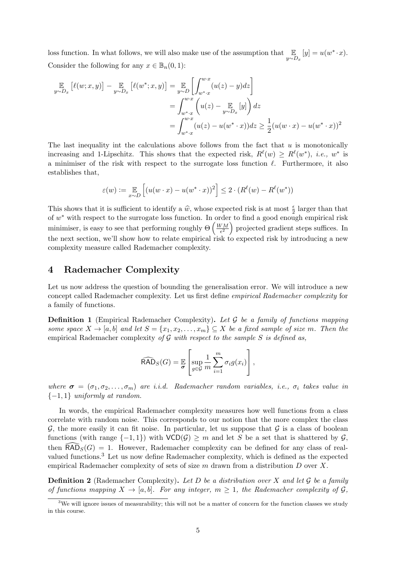loss function. In what follows, we will also make use of the assumption that  $\mathbb{E}_{y \sim D_x}[y] = u(w^* \cdot x)$ . Consider the following for any  $x \in \mathbb{B}_n(0,1)$ :

$$
\mathbb{E}_{y \sim D_x} [\ell(w; x, y)] - \mathbb{E}_{y \sim D_x} [\ell(w^*; x, y)] = \mathbb{E}_{y \sim D} [\int_{w^* \cdot x}^{w \cdot x} (u(z) - y) dz] \n= \int_{w^* \cdot x}^{w \cdot x} (u(z) - \mathbb{E}_{y \sim D_x} [y]) dz \n= \int_{w^* \cdot x}^{w \cdot x} (u(z) - u(w^* \cdot x)) dz \ge \frac{1}{2} (u(w \cdot x) - u(w^* \cdot x))^2
$$

The last inequality int the calculations above follows from the fact that  $u$  is monotonically increasing and 1-Lipschitz. This shows that the expected risk,  $R^{\ell}(w) \geq R^{\ell}(w^*)$ , *i.e.*,  $w^*$  is a minimiser of the risk with respect to the surrogate loss function  $\ell$ . Furthermore, it also establishes that,

$$
\varepsilon(w) := \mathop{\mathbb{E}}\limits_{x \sim D} \left[ (u(w \cdot x) - u(w^* \cdot x))^2 \right] \le 2 \cdot (R^\ell(w) - R^\ell(w^*))
$$

This shows that it is sufficient to identify a  $\hat{w}$ , whose expected risk is at most  $\frac{\epsilon}{2}$  larger than that of  $w^*$  with respect to the surrors less function. In order to find a good enough empirical risk of  $w^*$  with respect to the surrogate loss function. In order to find a good enough empirical risk minimiser, is easy to see that performing roughly  $\Theta\left(\frac{WM}{\epsilon^2}\right)$  $\left(\frac{VM}{\epsilon^2}\right)$  projected gradient steps suffices. In the next section, we'll show how to relate empirical risk to expected risk by introducing a new complexity measure called Rademacher complexity.

### 4 Rademacher Complexity

Let us now address the question of bounding the generalisation error. We will introduce a new concept called Rademacher complexity. Let us first define empirical Rademacher complexity for a family of functions.

**Definition 1** (Empirical Rademacher Complexity). Let  $\mathcal G$  be a family of functions mapping some space  $X \to [a, b]$  and let  $S = \{x_1, x_2, \ldots, x_m\} \subseteq X$  be a fixed sample of size m. Then the empirical Rademacher complexity of  $G$  with respect to the sample  $S$  is defined as,

$$
\widehat{\text{RAD}}_S(G) = \mathbb{E}\left[\sup_{g \in \mathcal{G}} \frac{1}{m} \sum_{i=1}^m \sigma_i g(x_i)\right],
$$

where  $\sigma = (\sigma_1, \sigma_2, \ldots, \sigma_m)$  are i.i.d. Rademacher random variables, i.e.,  $\sigma_i$  takes value in  ${-1,1}$  uniformly at random.

In words, the empirical Rademacher complexity measures how well functions from a class correlate with random noise. This corresponds to our notion that the more complex the class  $G$ , the more easily it can fit noise. In particular, let us suppose that  $G$  is a class of boolean functions (with range  $\{-1,1\}$ ) with  $VCD(\mathcal{G}) \geq m$  and let S be a set that is shattered by  $\mathcal{G}$ , then  $\widehat{\textsf{RAD}}_S(G) = 1$ . However, Rademacher complexity can be defined for any class of realvalued functions.<sup>3</sup> Let us now define Rademacher complexity, which is defined as the expected empirical Rademacher complexity of sets of size m drawn from a distribution D over X.

**Definition 2** (Rademacher Complexity). Let D be a distribution over X and let  $\mathcal G$  be a family of functions mapping  $X \to [a, b]$ . For any integer,  $m \geq 1$ , the Rademacher complexity of  $\mathcal{G}$ ,

<sup>&</sup>lt;sup>3</sup>We will ignore issues of measurability; this will not be a matter of concern for the function classes we study in this course.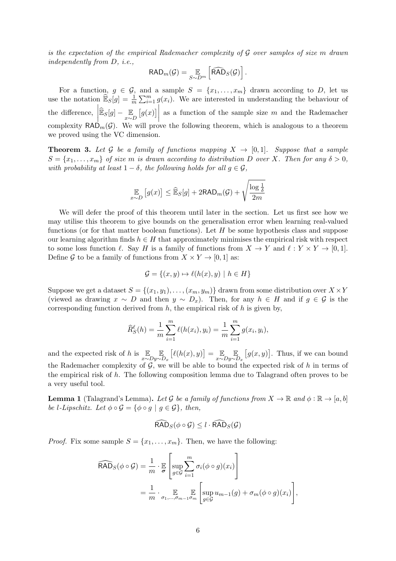is the expectation of the empirical Rademacher complexity of  $\mathcal G$  over samples of size m drawn independently from D, i.e.,

$$
\mathsf{RAD}_m(\mathcal{G}) = \mathop{\mathbb{E}}_{S \sim D^m} \left[ \widehat{\mathsf{RAD}}_S(\mathcal{G}) \right].
$$

For a function,  $g \in \mathcal{G}$ , and a sample  $S = \{x_1, \ldots, x_m\}$  drawn according to D, let us use the notation  $\widehat{\mathbb{E}}_S[g] = \frac{1}{m} \sum_{i=1}^m g(x_i)$ . We are interested in understanding the behaviour of the difference,  $\left| \widehat{\mathbb{E}}_S[g] - \mathbb{E}_D[g(x)] \right|$ as a function of the sample size  $m$  and the Rademacher complexity  $\mathsf{RAD}_m(\mathcal{G})$ . We will prove the following theorem, which is analogous to a theorem we proved using the VC dimension.

**Theorem 3.** Let G be a family of functions mapping  $X \to [0,1]$ . Suppose that a sample  $S = \{x_1, \ldots, x_m\}$  of size m is drawn according to distribution D over X. Then for any  $\delta > 0$ , with probability at least  $1 - \delta$ , the following holds for all  $q \in \mathcal{G}$ ,

$$
\mathop{\mathbb{E}}_{x \sim D} [g(x)] \leq \widehat{\mathop{\mathbb{E}}}_S[g] + 2 \text{RAD}_m(\mathcal{G}) + \sqrt{\frac{\log \frac{1}{\delta}}{2m}}
$$

We will defer the proof of this theorem until later in the section. Let us first see how we may utilise this theorem to give bounds on the generalisation error when learning real-valued functions (or for that matter boolean functions). Let  $H$  be some hypothesis class and suppose our learning algorithm finds  $h \in H$  that approximately minimises the empirical risk with respect to some loss function  $\ell$ . Say H is a family of functions from  $X \to Y$  and  $\ell : Y \times Y \to [0, 1].$ Define G to be a family of functions from  $X \times Y \to [0, 1]$  as:

$$
\mathcal{G} = \{(x, y) \mapsto \ell(h(x), y) \mid h \in H\}
$$

Suppose we get a dataset  $S = \{(x_1, y_1), \ldots, (x_m, y_m)\}\)$  drawn from some distribution over  $X \times Y$ (viewed as drawing  $x \sim D$  and then  $y \sim D_x$ ). Then, for any  $h \in H$  and if  $g \in \mathcal{G}$  is the corresponding function derived from  $h$ , the empirical risk of  $h$  is given by,

$$
\widehat{R}_{S}^{\ell}(h) = \frac{1}{m} \sum_{i=1}^{m} \ell(h(x_i), y_i) = \frac{1}{m} \sum_{i=1}^{m} g(x_i, y_i),
$$

and the expected risk of h is  $\mathbb{E}_{x \sim D}$ E  $y \sim D_x$  $[\ell(h(x), y)] = \mathop{\mathbb{E}}_{x \sim D}$ E  $y \sim D_x$  $[g(x, y)]$ . Thus, if we can bound the Rademacher complexity of  $G$ , we will be able to bound the expected risk of h in terms of the empirical risk of h. The following composition lemma due to Talagrand often proves to be a very useful tool.

**Lemma 1** (Talagrand's Lemma). Let G be a family of functions from  $X \to \mathbb{R}$  and  $\phi : \mathbb{R} \to [a, b]$ be l-Lipschitz. Let  $\phi \circ \mathcal{G} = {\phi \circ g \mid g \in \mathcal{G}}$ , then,

$$
\widehat{\text{RAD}}_S(\phi \circ \mathcal{G}) \leq l \cdot \widehat{\text{RAD}}_S(\mathcal{G})
$$

*Proof.* Fix some sample  $S = \{x_1, \ldots, x_m\}$ . Then, we have the following:

$$
\widehat{\mathsf{RAD}}_S(\phi \circ \mathcal{G}) = \frac{1}{m} \cdot \mathbb{E}\left[\sup_{g \in \mathcal{G}} \sum_{i=1}^m \sigma_i(\phi \circ g)(x_i)\right]
$$

$$
= \frac{1}{m} \cdot \mathbb{E}\left[\sup_{g \in \mathcal{G}} u_{m-1}(g) + \sigma_m(\phi \circ g)(x_i)\right],
$$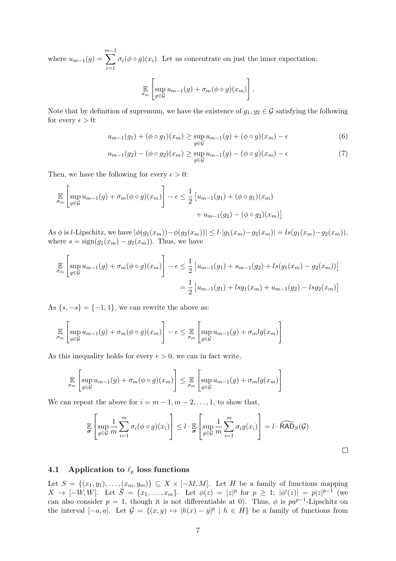where  $u_{m-1}(g) =$  $\sum^{m-1}$  $i=1$  $\sigma_i(\phi \circ g)(x_i)$ . Let us concentrate on just the inner expectation:

$$
\mathbb{E}\left[\sup_{g\in\mathcal{G}}u_{m-1}(g)+\sigma_m(\phi\circ g)(x_m)\right].
$$

Note that by definition of supremum, we have the existence of  $g_1, g_2 \in \mathcal{G}$  satisfying the following for every  $\epsilon > 0$ :

$$
u_{m-1}(g_1) + (\phi \circ g_1)(x_m) \ge \sup_{g \in \mathcal{G}} u_{m-1}(g) + (\phi \circ g)(x_m) - \epsilon \tag{6}
$$

$$
u_{m-1}(g_2) - (\phi \circ g_2)(x_m) \ge \sup_{g \in \mathcal{G}} u_{m-1}(g) - (\phi \circ g)(x_m) - \epsilon \tag{7}
$$

Then, we have the following for every  $\epsilon > 0$ :

$$
\mathbb{E}_{\sigma_m} \left[ \sup_{g \in \mathcal{G}} u_{m-1}(g) + \sigma_m(\phi \circ g)(x_m) \right] - \epsilon \le \frac{1}{2} \left[ u_{m-1}(g_1) + (\phi \circ g_1)(x_m) + u_{m-1}(g_2) - (\phi \circ g_2)(x_m) \right]
$$

As  $\phi$  is *l*-Lipschitz, we have  $|\phi(g_1(x_m)) - \phi(g_2(x_m))| \le l \cdot |g_1(x_m) - g_2(x_m)| = ls(g_1(x_m) - g_2(x_m)),$ where  $s = sign(g_1(x_m) - g_2(x_m))$ . Thus, we have

$$
\mathbb{E}_{\sigma_m} \left[ \sup_{g \in \mathcal{G}} u_{m-1}(g) + \sigma_m(\phi \circ g)(x_m) \right] - \epsilon \le \frac{1}{2} \left[ u_{m-1}(g_1) + u_{m-1}(g_2) + ls(g_1(x_m) - g_2(x_m)) \right]
$$

$$
= \frac{1}{2} \left[ u_{m-1}(g_1) + lsg_1(x_m) + u_{m-1}(g_2) - lsg_2(x_m) \right]
$$

As  $\{s, -s\} = \{-1, 1\}$ , we can rewrite the above as:

$$
\mathbb{E}_{\sigma_m} \left[ \sup_{g \in \mathcal{G}} u_{m-1}(g) + \sigma_m(\phi \circ g)(x_m) \right] - \epsilon \leq \mathbb{E}_{\sigma_m} \left[ \sup_{g \in \mathcal{G}} u_{m-1}(g) + \sigma_m \lg(x_m) \right]
$$

As this inequality holds for every  $\epsilon > 0$ , we can in fact write,

$$
\mathbb{E}_{\sigma_m} \left[ \sup_{g \in \mathcal{G}} u_{m-1}(g) + \sigma_m(\phi \circ g)(x_m) \right] \leq \mathbb{E}_{\sigma_m} \left[ \sup_{g \in \mathcal{G}} u_{m-1}(g) + \sigma_m l g(x_m) \right]
$$

We can repeat the above for  $i = m - 1, m - 2, \ldots, 1$ , to show that,

$$
\mathbb{E}\left[\sup_{g\in\mathcal{G}}\frac{1}{m}\sum_{i=1}^{m}\sigma_i(\phi\circ g)(x_i)\right] \leq l \cdot \mathbb{E}\left[\sup_{g\in\mathcal{G}}\frac{1}{m}\sum_{i=1}^{m}\sigma_ig(x_i)\right] = l \cdot \widehat{\text{RAD}}_S(\mathcal{G})
$$

 $\Box$ 

### 4.1 Application to  $\ell_p$  loss functions

Let  $S = \{(x_1, y_1), \ldots, (x_m, y_m)\} \subseteq X \times [-M, M]$ . Let H be a family of functions mapping  $X \to [-W,W]$ . Let  $\overline{S} = \{x_1, \ldots, x_m\}$ . Let  $\phi(z) = |z|^p$  for  $p \geq 1$ ;  $|\phi'(z)| = p|z|^{p-1}$  (we can also consider  $p = 1$ , though it is not differentiable at 0). Thus,  $\phi$  is  $pa^{p-1}$ -Lipschitz on the interval  $[-a, a]$ . Let  $\mathcal{G} = \{(x, y) \mapsto |h(x) - y|^p \mid h \in H\}$  be a family of functions from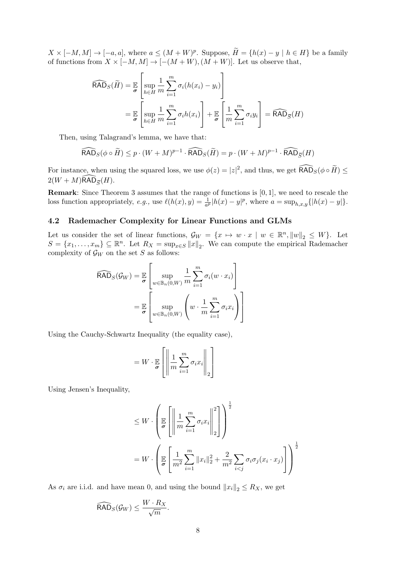$X \times [-M, M] \to [-a, a],$  where  $a \leq (M + W)^p$ . Suppose,  $\widetilde{H} = \{h(x) - y \mid h \in H\}$  be a family of functions from  $X \times [-M, M] \to [-(M + W), (M + W)]$ . Let us observe that,

$$
\widehat{\text{RAD}}_{S}(\widetilde{H}) = \mathbb{E}\left[\sup_{h \in H} \frac{1}{m} \sum_{i=1}^{m} \sigma_{i}(h(x_{i}) - y_{i})\right]
$$

$$
= \mathbb{E}\left[\sup_{h \in H} \frac{1}{m} \sum_{i=1}^{m} \sigma_{i}h(x_{i})\right] + \mathbb{E}\left[\frac{1}{m} \sum_{i=1}^{m} \sigma_{i}y_{i}\right] = \widehat{\text{RAD}}_{\overline{S}}(H)
$$

Then, using Talagrand's lemma, we have that:

$$
\widehat{\text{RAD}}_S(\phi \circ \widetilde{H}) \le p \cdot (W + M)^{p-1} \cdot \widehat{\text{RAD}}_S(\widetilde{H}) = p \cdot (W + M)^{p-1} \cdot \widehat{\text{RAD}}_{\overline{S}}(H)
$$

For instance, when using the squared loss, we use  $\phi(z) = |z|^2$ , and thus, we get  $\widehat{\textsf{RAD}}_{S}(\phi \circ \widetilde{H}) \leq$  $2(W + M)$ RAD<sub> $\overline{S}(H)$ .</sub>

Remark: Since Theorem 3 assumes that the range of functions is [0, 1], we need to rescale the loss function appropriately, e.g., use  $\ell(h(x), y) = \frac{1}{a^p} |h(x) - y|^p$ , where  $a = \sup_{h,x,y} {\{|h(x) - y|\}}$ .

#### 4.2 Rademacher Complexity for Linear Functions and GLMs

Let us consider the set of linear functions,  $\mathcal{G}_W = \{x \mapsto w \cdot x \mid w \in \mathbb{R}^n, ||w||_2 \leq W\}$ . Let  $S = \{x_1, \ldots, x_m\} \subseteq \mathbb{R}^n$ . Let  $R_X = \sup_{x \in S} ||x||_2$ . We can compute the empirical Rademacher complexity of  $\mathcal{G}_W$  on the set S as follows:

$$
\widehat{\mathsf{RAD}}_S(\mathcal{G}_W) = \mathbb{E}\left[\sup_{w \in \mathbb{B}_n(0,W)} \frac{1}{m} \sum_{i=1}^m \sigma_i(w \cdot x_i)\right]
$$

$$
= \mathbb{E}\left[\sup_{w \in \mathbb{B}_n(0,W)} \left(w \cdot \frac{1}{m} \sum_{i=1}^m \sigma_i x_i\right)\right]
$$

Using the Cauchy-Schwartz Inequality (the equality case),

$$
= W \cdot \mathbb{E}_{\boldsymbol{\sigma}}\left[\left\|\frac{1}{m}\sum_{i=1}^{m} \sigma_i x_i\right\|_2\right]
$$

Using Jensen's Inequality,

$$
\leq W \cdot \left(\mathbb{E}\left[\left\|\frac{1}{m}\sum_{i=1}^{m} \sigma_i x_i\right\|_2^2\right]\right)^{\frac{1}{2}}
$$
  

$$
= W \cdot \left(\mathbb{E}\left[\frac{1}{m^2}\sum_{i=1}^{m} \|x_i\|_2^2 + \frac{2}{m^2}\sum_{i < j} \sigma_i \sigma_j (x_i \cdot x_j)\right]\right)^{\frac{1}{2}}
$$

As  $\sigma_i$  are i.i.d. and have mean 0, and using the bound  $||x_i||_2 \leq R_X$ , we get

$$
\widehat{\text{RAD}}_S(\mathcal{G}_W) \leq \frac{W \cdot R_X}{\sqrt{m}}.
$$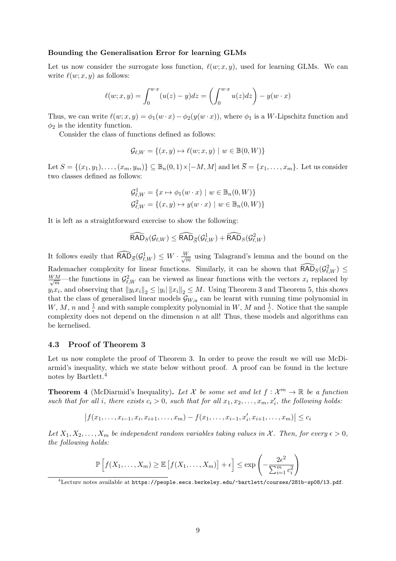#### Bounding the Generalisation Error for learning GLMs

Let us now consider the surrogate loss function,  $\ell(w; x, y)$ , used for learning GLMs. We can write  $\ell(w; x, y)$  as follows:

$$
\ell(w;x,y) = \int_0^{w \cdot x} (u(z) - y) dz = \left( \int_0^{w \cdot x} u(z) dz \right) - y(w \cdot x)
$$

Thus, we can write  $\ell(w; x, y) = \phi_1(w \cdot x) - \phi_2(y(w \cdot x))$ , where  $\phi_1$  is a W-Lipschitz function and  $\phi_2$  is the identity function.

Consider the class of functions defined as follows:

$$
\mathcal{G}_{\ell,W} = \{(x, y) \mapsto \ell(w; x, y) \mid w \in \mathbb{B}(0, W)\}
$$

Let  $S = \{(x_1, y_1), \ldots, (x_m, y_m)\} \subseteq \mathbb{B}_n(0, 1) \times [-M, M]$  and let  $\overline{S} = \{x_1, \ldots, x_m\}$ . Let us consider two classes defined as follows:

$$
\mathcal{G}_{\ell,W}^1 = \{x \mapsto \phi_1(w \cdot x) \mid w \in \mathbb{B}_n(0, W)\}
$$
  

$$
\mathcal{G}_{\ell,W}^2 = \{(x, y) \mapsto y(w \cdot x) \mid w \in \mathbb{B}_n(0, W)\}
$$

It is left as a straightforward exercise to show the following:

$$
\widehat{\text{RAD}}_S(\mathcal{G}_{\ell,W}) \leq \widehat{\text{RAD}}_{\overline{S}}(\mathcal{G}^1_{\ell,W}) + \widehat{\text{RAD}}_S(\mathcal{G}^2_{\ell,W})
$$

It follows easily that  $\widehat{\textsf{RAD}}_{\overline{S}}(\mathcal{G}_{\ell,W}^1) \leq W \cdot \frac{W}{\sqrt{r}}$  $\frac{V}{m}$  using Talagrand's lemma and the bound on the Rademacher complexity for linear functions. Similarly, it can be shown that  $\widehat{\text{RAD}}_S(\mathcal{G}_{\ell,W}^2) \leq$  $\frac{WM}{\sqrt{m}}$ —the functions in  $\mathcal{G}_{\ell,W}^2$  can be viewed as linear functions with the vectors  $x_i$  replaced by  $y_i x_i$ , and observing that  $||y_i x_i||_2 \le ||y_i|| ||x_i||_2 \le M$ . Using Theorem 3 and Theorem 5, this shows that the class of generalised linear models  $G_{W,u}$  can be learnt with running time polynomial in W, M, n and  $\frac{1}{\epsilon}$  and with sample complexity polynomial in W, M and  $\frac{1}{\epsilon}$ . Notice that the sample complexity does not depend on the dimension  $n$  at all! Thus, these models and algorithms can be kernelised.

#### 4.3 Proof of Theorem 3

Let us now complete the proof of Theorem 3. In order to prove the result we will use McDiarmid's inequality, which we state below without proof. A proof can be found in the lecture notes by Bartlett.<sup>4</sup>

**Theorem 4** (McDiarmid's Inequality). Let X be some set and let  $f: \mathcal{X}^m \to \mathbb{R}$  be a function such that for all i, there exists  $c_i > 0$ , such that for all  $x_1, x_2, \ldots, x_m, x'_i$ , the following holds:

$$
|f(x_1,\ldots,x_{i-1},x_i,x_{i+1},\ldots,x_m)-f(x_1,\ldots,x_{i-1},x'_i,x_{i+1},\ldots,x_m)|\leq c_i
$$

Let  $X_1, X_2, \ldots, X_m$  be independent random variables taking values in X. Then, for every  $\epsilon > 0$ , the following holds:

$$
\mathbb{P}\left[f(X_1,\ldots,X_m)\geq \mathbb{E}\left[f(X_1,\ldots,X_m)\right]+\epsilon\right]\leq \exp\left(-\frac{2\epsilon^2}{\sum_{i=1}^m c_i^2}\right)
$$

 $^4$ Lecture notes available at https://people.eecs.berkeley.edu/~bartlett/courses/281b-sp08/13.pdf.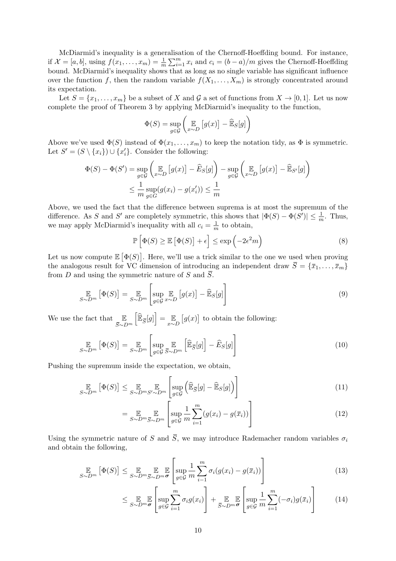McDiarmid's inequality is a generalisation of the Chernoff-Hoeffding bound. For instance, if  $\mathcal{X} = [a, b]$ , using  $f(x_1, \ldots, x_m) = \frac{1}{m} \sum_{i=1}^m x_i$  and  $c_i = (b - a)/m$  gives the Chernoff-Hoeffding bound. McDiarmid's inequality shows that as long as no single variable has significant influence over the function f, then the random variable  $f(X_1, \ldots, X_m)$  is strongly concentrated around its expectation.

Let  $S = \{x_1, \ldots, x_m\}$  be a subset of X and G a set of functions from  $X \to [0, 1]$ . Let us now complete the proof of Theorem 3 by applying McDiarmid's inequality to the function,

$$
\Phi(S) = \sup_{g \in \mathcal{G}} \left( \mathop{\mathbb{E}}_{x \sim D} \left[ g(x) \right] - \widehat{\mathop{\mathbb{E}}}_S[g] \right)
$$

Above we've used  $\Phi(S)$  instead of  $\Phi(x_1, \ldots, x_m)$  to keep the notation tidy, as  $\Phi$  is symmetric. Let  $S' = (S \setminus \{x_i\}) \cup \{x'_i\}$ . Consider the following:

$$
\Phi(S) - \Phi(S') = \sup_{g \in \mathcal{G}} \left( \mathop{\mathbb{E}}_{x \sim D} \left[ g(x) \right] - \widehat{E}_S[g] \right) - \sup_{g \in \mathcal{G}} \left( \mathop{\mathbb{E}}_{x \sim D} \left[ g(x) \right] - \widehat{\mathop{\mathbb{E}}}_{S'}[g] \right)
$$
  

$$
\leq \frac{1}{m} \sup_{g \in G} (g(x_i) - g(x'_i)) \leq \frac{1}{m}
$$

Above, we used the fact that the difference between suprema is at most the supremum of the difference. As S and S' are completely symmetric, this shows that  $|\Phi(S) - \Phi(S')| \leq \frac{1}{m}$ . Thus, we may apply McDiarmid's inequality with all  $c_i = \frac{1}{n}$  $\frac{1}{m}$  to obtain,

$$
\mathbb{P}\left[\Phi(S) \ge \mathbb{E}\left[\Phi(S)\right] + \epsilon\right] \le \exp\left(-2\epsilon^2 m\right) \tag{8}
$$

Let us now compute  $\mathbb{E}[\Phi(S)]$ . Here, we'll use a trick similar to the one we used when proving the analogous result for VC dimension of introducing an independent draw  $\overline{S} = {\overline{x_1}, \ldots, \overline{x_m}}$ from D and using the symmetric nature of S and  $\overline{S}$ .

$$
\mathop{\mathbb{E}}_{S \sim D^{m}}\left[\Phi(S)\right] = \mathop{\mathbb{E}}_{S \sim D^{m}}\left[\sup_{g \in \mathcal{G}} \mathop{\mathbb{E}}_{x \sim D}\left[g(x)\right] - \widehat{\mathop{\mathbb{E}}}_{S}[g]\right]
$$
(9)

We use the fact that  $\quad \mathbb{E}$  $\bar{S}$ ∼D<sup>m</sup>  $\left[\widehat{\mathbb{E}}_{\overline{S}}[g]\right]=\mathop{\mathbb{E}}\limits_{x\sim D}\left[g(x)\right]$  to obtain the following:

$$
\mathop{\mathbb{E}}_{S \sim D^{m}} \left[ \Phi(S) \right] = \mathop{\mathbb{E}}_{S \sim D^{m}} \left[ \mathop{\sup}_{g \in \mathcal{G}} \mathop{\mathbb{E}}_{\bar{S} \sim D^{m}} \left[ \widehat{\mathbb{E}}_{\bar{S}}[g] \right] - \widehat{E}_{S}[g] \right]
$$
(10)

Pushing the supremum inside the expectation, we obtain,

$$
\mathop{\mathbb{E}}_{S \sim D^{m}} \left[ \Phi(S) \right] \leq \mathop{\mathbb{E}}_{S \sim D^{m} S' \sim D^{m}} \left[ \sup_{g \in \mathcal{G}} \left( \widehat{\mathbb{E}}_{\overline{S}}[g] - \widehat{\mathbb{E}}_{S}[g] \right) \right]
$$
\n(11)

$$
= \mathop{\mathbb{E}}_{S \sim D^m \overline{S} \sim D^m} \left[ \mathop{\sup}_{g \in \mathcal{G}} \frac{1}{m} \sum_{i=1}^m (g(x_i) - g(\overline{x}_i)) \right]
$$
(12)

Using the symmetric nature of S and  $\overline{S}$ , we may introduce Rademacher random variables  $\sigma_i$ and obtain the following,

$$
\mathop{\mathbb{E}}_{S \sim D^{m}}\left[\Phi(S)\right] \leq \mathop{\mathbb{E}}_{S \sim D^{m}}\mathop{\mathbb{E}}_{\overline{S} \sim D^{m}}\mathop{\mathbb{E}}_{\sigma}\left[\sup_{g \in \mathcal{G}}\frac{1}{m}\sum_{i=1}^{m}\sigma_{i}(g(x_{i})-g(\overline{x}_{i}))\right]
$$
(13)

$$
\leq \mathop{\mathbb{E}}_{S \sim D^m} \mathop{\mathbb{E}}_{\sigma} \left[ \mathop{\sup}_{g \in \mathcal{G}} \sum_{i=1}^m \sigma_i g(x_i) \right] + \mathop{\mathbb{E}}_{\bar{S} \sim D^m} \mathop{\mathbb{E}}_{\sigma} \left[ \mathop{\sup}_{g \in \mathcal{G}} \frac{1}{m} \sum_{i=1}^m (-\sigma_i) g(\bar{x}_i) \right] \tag{14}
$$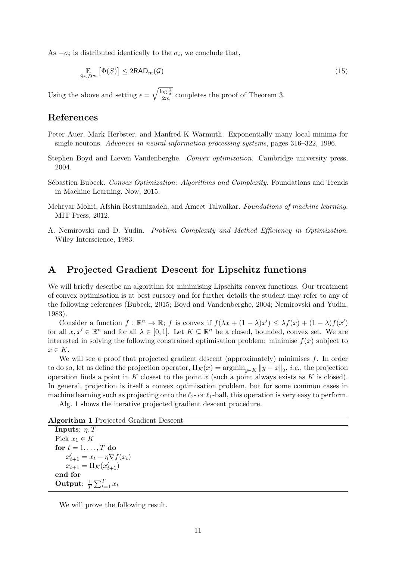As  $-\sigma_i$  is distributed identically to the  $\sigma_i$ , we conclude that,

$$
\mathop{\mathbb{E}}_{S \sim D^{m}} \left[ \Phi(S) \right] \leq 2 \text{RAD}_{m}(\mathcal{G}) \tag{15}
$$

Using the above and setting  $\epsilon = \sqrt{\frac{\log \frac{1}{\delta}}{2m}}$  completes the proof of Theorem 3.

### References

- Peter Auer, Mark Herbster, and Manfred K Warmuth. Exponentially many local minima for single neurons. Advances in neural information processing systems, pages 316–322, 1996.
- Stephen Boyd and Lieven Vandenberghe. Convex optimization. Cambridge university press, 2004.
- Sébastien Bubeck. Convex Optimization: Algorithms and Complexity. Foundations and Trends in Machine Learning. Now, 2015.
- Mehryar Mohri, Afshin Rostamizadeh, and Ameet Talwalkar. Foundations of machine learning. MIT Press, 2012.
- A. Nemirovski and D. Yudin. Problem Complexity and Method Efficiency in Optimization. Wiley Interscience, 1983.

# A Projected Gradient Descent for Lipschitz functions

We will briefly describe an algorithm for minimising Lipschitz convex functions. Our treatment of convex optimisation is at best cursory and for further details the student may refer to any of the following references (Bubeck, 2015; Boyd and Vandenberghe, 2004; Nemirovski and Yudin, 1983).

Consider a function  $f : \mathbb{R}^n \to \mathbb{R}$ ; f is convex if  $f(\lambda x + (1 - \lambda)x') \leq \lambda f(x) + (1 - \lambda)f(x')$ for all  $x, x' \in \mathbb{R}^n$  and for all  $\lambda \in [0, 1]$ . Let  $K \subseteq \mathbb{R}^n$  be a closed, bounded, convex set. We are interested in solving the following constrained optimisation problem: minimise  $f(x)$  subject to  $x \in K$ .

We will see a proof that projected gradient descent (approximately) minimises f. In order to do so, let us define the projection operator,  $\Pi_K(x) = \operatorname{argmin}_{y \in K} ||y - x||_2$ , *i.e.*, the projection operation finds a point in K closest to the point x (such a point always exists as K is closed). In general, projection is itself a convex optimisation problem, but for some common cases in machine learning such as projecting onto the  $\ell_2$ - or  $\ell_1$ -ball, this operation is very easy to perform.

Alg. 1 shows the iterative projected gradient descent procedure.

```
Algorithm 1 Projected Gradient Descent
```
Inputs:  $\eta, T$ Pick  $x_1 \in K$ for  $t = 1, \ldots, T$  do  $x'_{t+1} = x_t - \eta \nabla f(x_t)$  $x_{t+1} = \Pi_K(x'_{t+1})$ end for Output:  $\frac{1}{7}$  $\frac{1}{T} \sum_{t=1}^T x_t$ 

We will prove the following result.